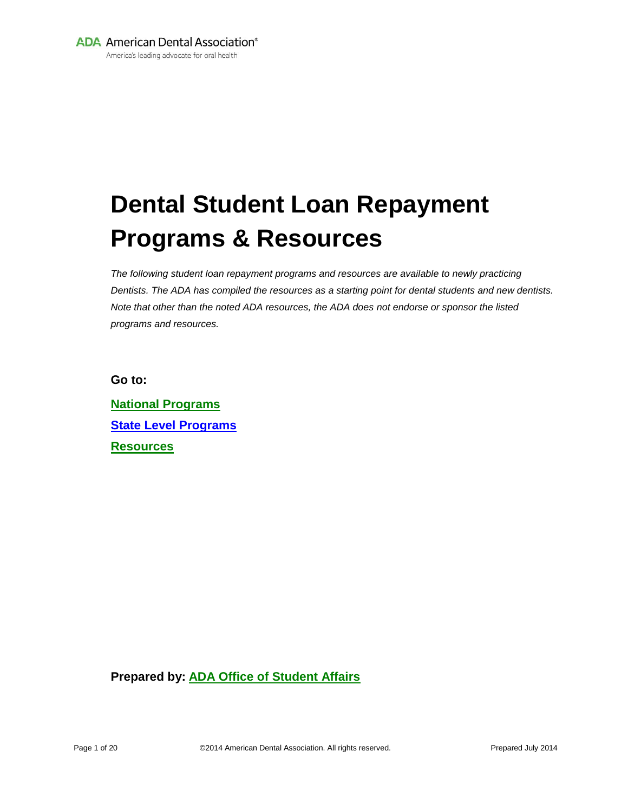**ADA** American Dental Association<sup>®</sup>

America's leading advocate for oral health

# **Dental Student Loan Repayment Programs & Resources**

*The following student loan repayment programs and resources are available to newly practicing Dentists. The ADA has compiled the resources as a starting point for dental students and new dentists. Note that other than the noted ADA resources, the ADA does not endorse or sponsor the listed programs and resources.* 

**Go to:**

**[National Programs](#page-1-0) [State Level Programs](#page-3-0) [Resources](#page-18-0)**

**Prepared by: [ADA Office of Student Affairs](#page-19-0)**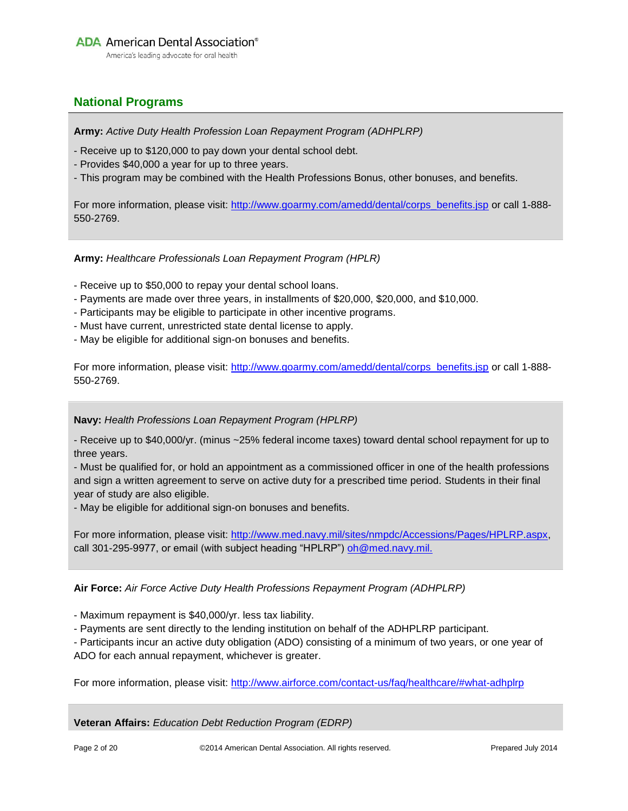#### <span id="page-1-0"></span>**National Programs**

**Army:** *Active Duty Health Profession Loan Repayment Program (ADHPLRP)*

- Receive up to \$120,000 to pay down your dental school debt.
- Provides \$40,000 a year for up to three years.
- This program may be combined with the Health Professions Bonus, other bonuses, and benefits.

For more information, please visit: [http://www.goarmy.com/amedd/dental/corps\\_benefits.jsp](http://www.goarmy.com/amedd/dental/corps_benefits.jsp) or call 1-888-550-2769.

**Army:** *Healthcare Professionals Loan Repayment Program (HPLR)*

- Receive up to \$50,000 to repay your dental school loans.
- Payments are made over three years, in installments of \$20,000, \$20,000, and \$10,000.
- Participants may be eligible to participate in other incentive programs.
- Must have current, unrestricted state dental license to apply.
- May be eligible for additional sign-on bonuses and benefits.

For more information, please visit: [http://www.goarmy.com/amedd/dental/corps\\_benefits.jsp](http://www.goarmy.com/amedd/dental/corps_benefits.jsp) or call 1-888-550-2769.

#### **Navy:** *Health Professions Loan Repayment Program (HPLRP)*

- Receive up to \$40,000/yr. (minus ~25% federal income taxes) toward dental school repayment for up to three years.

- Must be qualified for, or hold an appointment as a commissioned officer in one of the health professions and sign a written agreement to serve on active duty for a prescribed time period. Students in their final year of study are also eligible.

- May be eligible for additional sign-on bonuses and benefits.

For more information, please visit: [http://www.med.navy.mil/sites/nmpdc/Accessions/Pages/HPLRP.aspx,](http://www.med.navy.mil/sites/nmpdc/Accessions/Pages/HPLRP.aspx) call 301-295-9977, or email (with subject heading "HPLRP") [oh@med.navy.mil.](mailto:oh@med.navy.mil)

**Air Force:** *Air Force Active Duty Health Professions Repayment Program (ADHPLRP)*

- Maximum repayment is \$40,000/yr. less tax liability.

- Payments are sent directly to the lending institution on behalf of the ADHPLRP participant.

- Participants incur an active duty obligation (ADO) consisting of a minimum of two years, or one year of ADO for each annual repayment, whichever is greater.

For more information, please visit: <http://www.airforce.com/contact-us/faq/healthcare/#what-adhplrp>

**Veteran Affairs:** *Education Debt Reduction Program (EDRP)*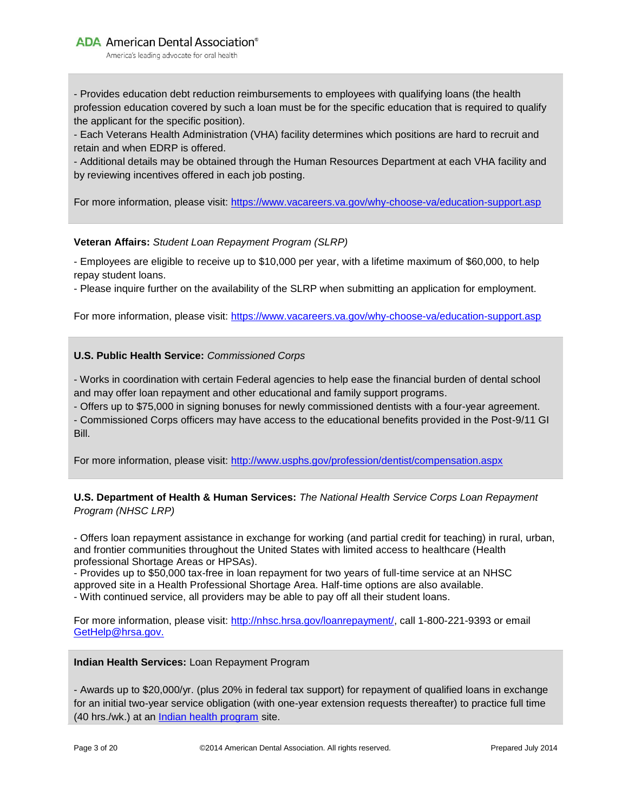**ADA** American Dental Association<sup>®</sup>

America's leading advocate for oral health

- Provides education debt reduction reimbursements to employees with qualifying loans (the health profession education covered by such a loan must be for the specific education that is required to qualify the applicant for the specific position).

- Each Veterans Health Administration (VHA) facility determines which positions are hard to recruit and retain and when EDRP is offered.

- Additional details may be obtained through the Human Resources Department at each VHA facility and by reviewing incentives offered in each job posting.

For more information, please visit:<https://www.vacareers.va.gov/why-choose-va/education-support.asp>

#### **Veteran Affairs:** *Student Loan Repayment Program (SLRP)*

- Employees are eligible to receive up to \$10,000 per year, with a lifetime maximum of \$60,000, to help repay student loans.

- Please inquire further on the availability of the SLRP when submitting an application for employment.

For more information, please visit:<https://www.vacareers.va.gov/why-choose-va/education-support.asp>

#### **U.S. Public Health Service:** *Commissioned Corps*

- Works in coordination with certain Federal agencies to help ease the financial burden of dental school and may offer loan repayment and other educational and family support programs.

- Offers up to \$75,000 in signing bonuses for newly commissioned dentists with a four-year agreement.

- Commissioned Corps officers may have access to the educational benefits provided in the Post-9/11 GI Bill.

For more information, please visit:<http://www.usphs.gov/profession/dentist/compensation.aspx>

#### <span id="page-2-0"></span>**U.S. Department of Health & Human Services:** *The National Health Service Corps Loan Repayment Program (NHSC LRP)*

- Offers loan repayment assistance in exchange for working (and partial credit for teaching) in rural, urban, and frontier communities throughout the United States with limited access to healthcare (Health professional Shortage Areas or HPSAs).

- Provides up to \$50,000 tax-free in loan repayment for two years of full-time service at an NHSC approved site in a Health Professional Shortage Area. Half-time options are also available.

- With continued service, all providers may be able to pay off all their student loans.

For more information, please visit: [http://nhsc.hrsa.gov/loanrepayment/,](http://nhsc.hrsa.gov/loanrepayment/) call 1-800-221-9393 or email [GetHelp@hrsa.gov.](mailto:GetHelp@hrsa.gov)

#### **Indian Health Services:** Loan Repayment Program

- Awards up to \$20,000/yr. (plus 20% in federal tax support) for repayment of qualified loans in exchange for an initial two-year service obligation (with one-year extension requests thereafter) to practice full time (40 hrs./wk.) at an [Indian health program](http://www.ihs.gov/loanrepayment/site_scores.cfm) site.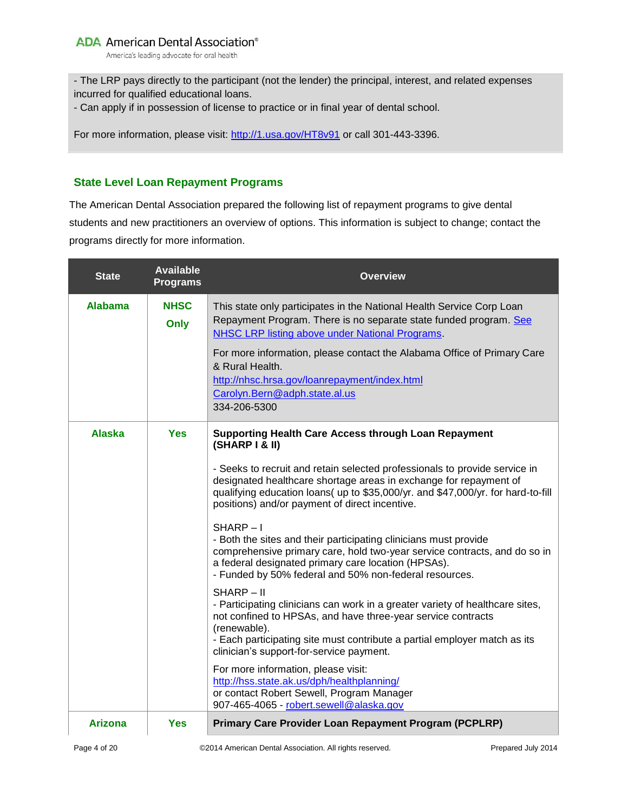America's leading advocate for oral health

- The LRP pays directly to the participant (not the lender) the principal, interest, and related expenses incurred for qualified educational loans.

- Can apply if in possession of license to practice or in final year of dental school.

For more information, please visit:<http://1.usa.gov/HT8v91> or call 301-443-3396.

#### <span id="page-3-0"></span>**State Level Loan Repayment Programs**

The American Dental Association prepared the following list of repayment programs to give dental students and new practitioners an overview of options. This information is subject to change; contact the programs directly for more information.

| <b>State</b>   | <b>Available</b><br><b>Programs</b> | <b>Overview</b>                                                                                                                                                                                                                                                                                                                                                                                                                                                                                                                                                                                                                                                                                                                                                                                                                                                                                                                                                                                                                                                                                                                        |
|----------------|-------------------------------------|----------------------------------------------------------------------------------------------------------------------------------------------------------------------------------------------------------------------------------------------------------------------------------------------------------------------------------------------------------------------------------------------------------------------------------------------------------------------------------------------------------------------------------------------------------------------------------------------------------------------------------------------------------------------------------------------------------------------------------------------------------------------------------------------------------------------------------------------------------------------------------------------------------------------------------------------------------------------------------------------------------------------------------------------------------------------------------------------------------------------------------------|
| <b>Alabama</b> | <b>NHSC</b><br>Only                 | This state only participates in the National Health Service Corp Loan<br>Repayment Program. There is no separate state funded program. See<br>NHSC LRP listing above under National Programs.<br>For more information, please contact the Alabama Office of Primary Care<br>& Rural Health.<br>http://nhsc.hrsa.gov/loanrepayment/index.html<br>Carolyn.Bern@adph.state.al.us<br>334-206-5300                                                                                                                                                                                                                                                                                                                                                                                                                                                                                                                                                                                                                                                                                                                                          |
| <b>Alaska</b>  | <b>Yes</b>                          | <b>Supporting Health Care Access through Loan Repayment</b><br>(SHARP I & II)<br>- Seeks to recruit and retain selected professionals to provide service in<br>designated healthcare shortage areas in exchange for repayment of<br>qualifying education loans( up to \$35,000/yr. and \$47,000/yr. for hard-to-fill<br>positions) and/or payment of direct incentive.<br>SHARP-I<br>- Both the sites and their participating clinicians must provide<br>comprehensive primary care, hold two-year service contracts, and do so in<br>a federal designated primary care location (HPSAs).<br>- Funded by 50% federal and 50% non-federal resources.<br>SHARP-II<br>- Participating clinicians can work in a greater variety of healthcare sites,<br>not confined to HPSAs, and have three-year service contracts<br>(renewable).<br>- Each participating site must contribute a partial employer match as its<br>clinician's support-for-service payment.<br>For more information, please visit:<br>http://hss.state.ak.us/dph/healthplanning/<br>or contact Robert Sewell, Program Manager<br>907-465-4065 - robert.sewell@alaska.gov |
| <b>Arizona</b> | <b>Yes</b>                          | <b>Primary Care Provider Loan Repayment Program (PCPLRP)</b>                                                                                                                                                                                                                                                                                                                                                                                                                                                                                                                                                                                                                                                                                                                                                                                                                                                                                                                                                                                                                                                                           |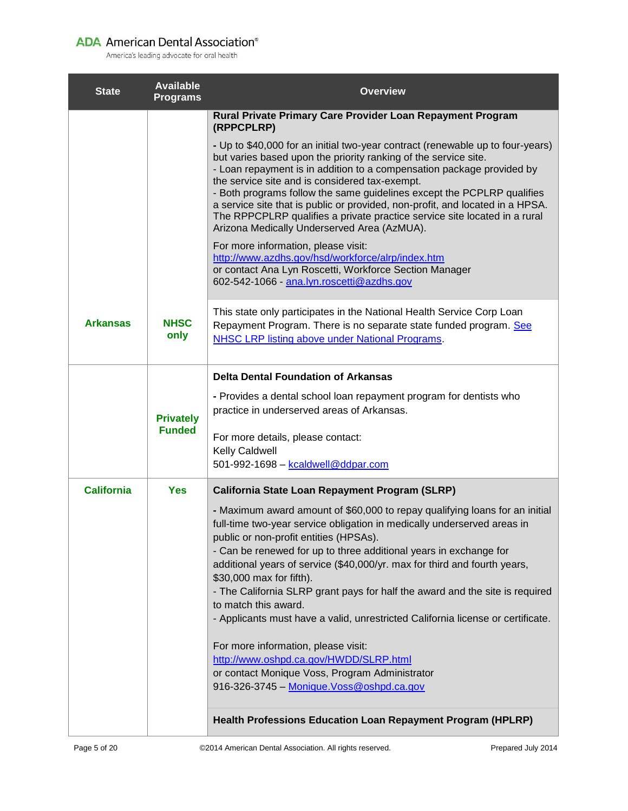| <b>State</b>      | <b>Available</b><br><b>Programs</b> | <b>Overview</b>                                                                                                                                                                                                                                                                                                                                                                                                                                                                                                                                                                                                                                                                                                                                                                                                          |
|-------------------|-------------------------------------|--------------------------------------------------------------------------------------------------------------------------------------------------------------------------------------------------------------------------------------------------------------------------------------------------------------------------------------------------------------------------------------------------------------------------------------------------------------------------------------------------------------------------------------------------------------------------------------------------------------------------------------------------------------------------------------------------------------------------------------------------------------------------------------------------------------------------|
|                   |                                     | Rural Private Primary Care Provider Loan Repayment Program<br>(RPPCPLRP)                                                                                                                                                                                                                                                                                                                                                                                                                                                                                                                                                                                                                                                                                                                                                 |
|                   |                                     | - Up to \$40,000 for an initial two-year contract (renewable up to four-years)<br>but varies based upon the priority ranking of the service site.<br>- Loan repayment is in addition to a compensation package provided by<br>the service site and is considered tax-exempt.<br>- Both programs follow the same guidelines except the PCPLRP qualifies<br>a service site that is public or provided, non-profit, and located in a HPSA.<br>The RPPCPLRP qualifies a private practice service site located in a rural<br>Arizona Medically Underserved Area (AzMUA).                                                                                                                                                                                                                                                      |
|                   |                                     | For more information, please visit:<br>http://www.azdhs.gov/hsd/workforce/alrp/index.htm<br>or contact Ana Lyn Roscetti, Workforce Section Manager<br>602-542-1066 - ana.lyn.roscetti@azdhs.gov                                                                                                                                                                                                                                                                                                                                                                                                                                                                                                                                                                                                                          |
| <b>Arkansas</b>   | <b>NHSC</b><br>only                 | This state only participates in the National Health Service Corp Loan<br>Repayment Program. There is no separate state funded program. See<br><b>NHSC LRP listing above under National Programs.</b>                                                                                                                                                                                                                                                                                                                                                                                                                                                                                                                                                                                                                     |
|                   |                                     | <b>Delta Dental Foundation of Arkansas</b>                                                                                                                                                                                                                                                                                                                                                                                                                                                                                                                                                                                                                                                                                                                                                                               |
|                   | <b>Privately</b>                    | - Provides a dental school loan repayment program for dentists who<br>practice in underserved areas of Arkansas.                                                                                                                                                                                                                                                                                                                                                                                                                                                                                                                                                                                                                                                                                                         |
|                   | <b>Funded</b>                       | For more details, please contact:<br><b>Kelly Caldwell</b><br>501-992-1698 - kcaldwell@ddpar.com                                                                                                                                                                                                                                                                                                                                                                                                                                                                                                                                                                                                                                                                                                                         |
| <b>California</b> | <b>Yes</b>                          | California State Loan Repayment Program (SLRP)                                                                                                                                                                                                                                                                                                                                                                                                                                                                                                                                                                                                                                                                                                                                                                           |
|                   |                                     | - Maximum award amount of \$60,000 to repay qualifying loans for an initial<br>full-time two-year service obligation in medically underserved areas in<br>public or non-profit entities (HPSAs).<br>- Can be renewed for up to three additional years in exchange for<br>additional years of service (\$40,000/yr. max for third and fourth years,<br>\$30,000 max for fifth).<br>- The California SLRP grant pays for half the award and the site is required<br>to match this award.<br>- Applicants must have a valid, unrestricted California license or certificate.<br>For more information, please visit:<br>http://www.oshpd.ca.gov/HWDD/SLRP.html<br>or contact Monique Voss, Program Administrator<br>916-326-3745 - Monique. Voss@oshpd.ca.gov<br>Health Professions Education Loan Repayment Program (HPLRP) |
|                   |                                     |                                                                                                                                                                                                                                                                                                                                                                                                                                                                                                                                                                                                                                                                                                                                                                                                                          |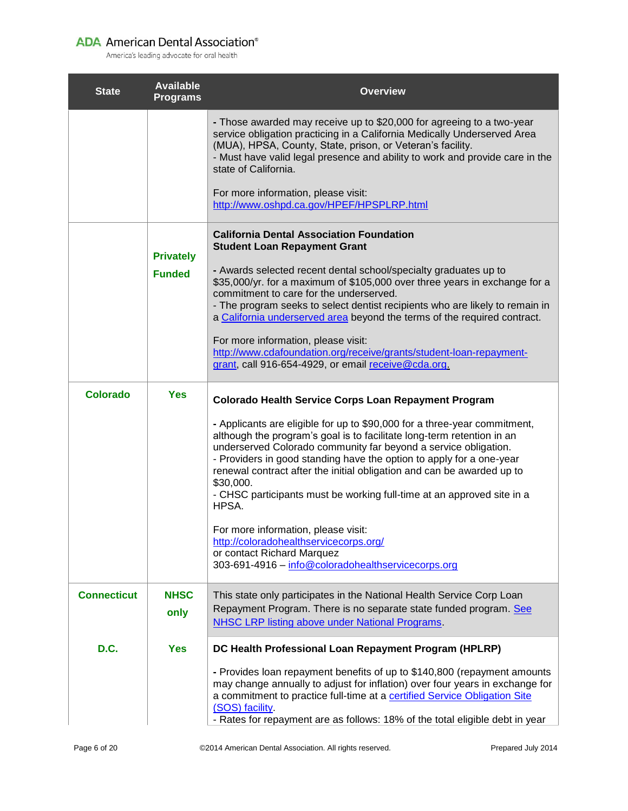| <b>State</b>       | <b>Available</b><br><b>Programs</b> | <b>Overview</b>                                                                                                                                                                                                                                                                                                                                                                                                                                                          |
|--------------------|-------------------------------------|--------------------------------------------------------------------------------------------------------------------------------------------------------------------------------------------------------------------------------------------------------------------------------------------------------------------------------------------------------------------------------------------------------------------------------------------------------------------------|
|                    |                                     | - Those awarded may receive up to \$20,000 for agreeing to a two-year<br>service obligation practicing in a California Medically Underserved Area<br>(MUA), HPSA, County, State, prison, or Veteran's facility.<br>- Must have valid legal presence and ability to work and provide care in the<br>state of California.                                                                                                                                                  |
|                    |                                     | For more information, please visit:<br>http://www.oshpd.ca.gov/HPEF/HPSPLRP.html                                                                                                                                                                                                                                                                                                                                                                                         |
|                    | <b>Privately</b>                    | <b>California Dental Association Foundation</b><br><b>Student Loan Repayment Grant</b>                                                                                                                                                                                                                                                                                                                                                                                   |
|                    | <b>Funded</b>                       | - Awards selected recent dental school/specialty graduates up to<br>\$35,000/yr. for a maximum of \$105,000 over three years in exchange for a<br>commitment to care for the underserved.<br>- The program seeks to select dentist recipients who are likely to remain in<br>a California underserved area beyond the terms of the required contract.                                                                                                                    |
|                    |                                     | For more information, please visit:<br>http://www.cdafoundation.org/receive/grants/student-loan-repayment-<br>grant, call 916-654-4929, or email receive@cda.org.                                                                                                                                                                                                                                                                                                        |
| <b>Colorado</b>    | <b>Yes</b>                          | <b>Colorado Health Service Corps Loan Repayment Program</b>                                                                                                                                                                                                                                                                                                                                                                                                              |
|                    |                                     | - Applicants are eligible for up to \$90,000 for a three-year commitment,<br>although the program's goal is to facilitate long-term retention in an<br>underserved Colorado community far beyond a service obligation.<br>- Providers in good standing have the option to apply for a one-year<br>renewal contract after the initial obligation and can be awarded up to<br>\$30,000.<br>- CHSC participants must be working full-time at an approved site in a<br>HPSA. |
|                    |                                     | For more information, please visit:<br>http://coloradohealthservicecorps.org/<br>or contact Richard Marquez<br>303-691-4916 - info@coloradohealthservicecorps.org                                                                                                                                                                                                                                                                                                        |
| <b>Connecticut</b> | <b>NHSC</b><br>only                 | This state only participates in the National Health Service Corp Loan<br>Repayment Program. There is no separate state funded program. See<br><b>NHSC LRP listing above under National Programs.</b>                                                                                                                                                                                                                                                                     |
| D.C.               | <b>Yes</b>                          | DC Health Professional Loan Repayment Program (HPLRP)                                                                                                                                                                                                                                                                                                                                                                                                                    |
|                    |                                     | - Provides loan repayment benefits of up to \$140,800 (repayment amounts<br>may change annually to adjust for inflation) over four years in exchange for<br>a commitment to practice full-time at a certified Service Obligation Site<br>(SOS) facility<br>- Rates for repayment are as follows: 18% of the total eligible debt in year                                                                                                                                  |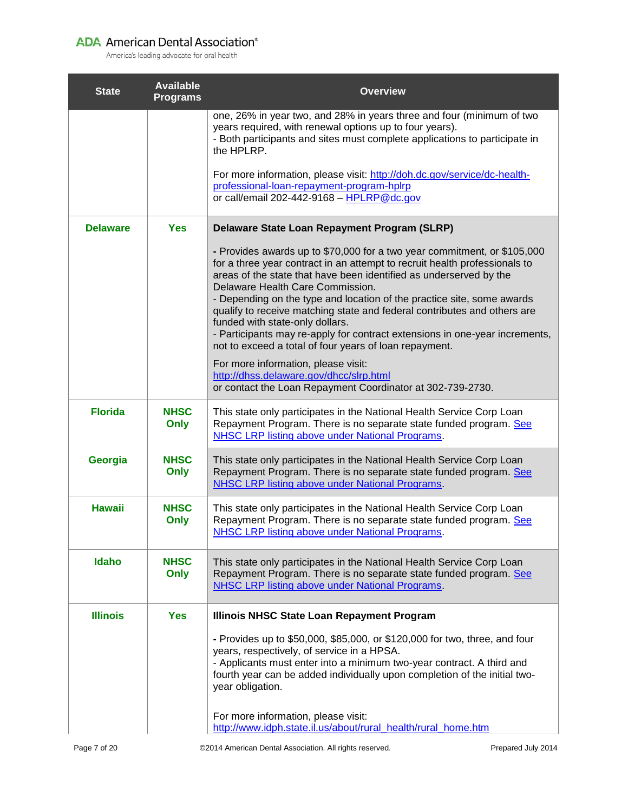| <b>State</b>    | <b>Available</b><br><b>Programs</b> | <b>Overview</b>                                                                                                                                                                                                                                                                                                                                                                                                                                                                                                                                                                                    |
|-----------------|-------------------------------------|----------------------------------------------------------------------------------------------------------------------------------------------------------------------------------------------------------------------------------------------------------------------------------------------------------------------------------------------------------------------------------------------------------------------------------------------------------------------------------------------------------------------------------------------------------------------------------------------------|
|                 |                                     | one, 26% in year two, and 28% in years three and four (minimum of two<br>years required, with renewal options up to four years).<br>- Both participants and sites must complete applications to participate in<br>the HPLRP.                                                                                                                                                                                                                                                                                                                                                                       |
|                 |                                     | For more information, please visit: http://doh.dc.gov/service/dc-health-<br>professional-loan-repayment-program-hplrp<br>or call/email 202-442-9168 - HPLRP@dc.gov                                                                                                                                                                                                                                                                                                                                                                                                                                 |
| <b>Delaware</b> | <b>Yes</b>                          | Delaware State Loan Repayment Program (SLRP)                                                                                                                                                                                                                                                                                                                                                                                                                                                                                                                                                       |
|                 |                                     | - Provides awards up to \$70,000 for a two year commitment, or \$105,000<br>for a three year contract in an attempt to recruit health professionals to<br>areas of the state that have been identified as underserved by the<br>Delaware Health Care Commission.<br>- Depending on the type and location of the practice site, some awards<br>qualify to receive matching state and federal contributes and others are<br>funded with state-only dollars.<br>- Participants may re-apply for contract extensions in one-year increments,<br>not to exceed a total of four years of loan repayment. |
|                 |                                     | For more information, please visit:<br>http://dhss.delaware.gov/dhcc/slrp.html<br>or contact the Loan Repayment Coordinator at 302-739-2730.                                                                                                                                                                                                                                                                                                                                                                                                                                                       |
| <b>Florida</b>  | <b>NHSC</b><br>Only                 | This state only participates in the National Health Service Corp Loan<br>Repayment Program. There is no separate state funded program. See<br><b>NHSC LRP listing above under National Programs.</b>                                                                                                                                                                                                                                                                                                                                                                                               |
| Georgia         | <b>NHSC</b><br><b>Only</b>          | This state only participates in the National Health Service Corp Loan<br>Repayment Program. There is no separate state funded program. See<br><b>NHSC LRP listing above under National Programs.</b>                                                                                                                                                                                                                                                                                                                                                                                               |
| <b>Hawaii</b>   | <b>NHSC</b><br>Only                 | This state only participates in the National Health Service Corp Loan<br>Repayment Program. There is no separate state funded program. See<br><b>NHSC LRP listing above under National Programs.</b>                                                                                                                                                                                                                                                                                                                                                                                               |
| Idaho           | <b>NHSC</b><br><b>Only</b>          | This state only participates in the National Health Service Corp Loan<br>Repayment Program. There is no separate state funded program. See<br><b>NHSC LRP listing above under National Programs.</b>                                                                                                                                                                                                                                                                                                                                                                                               |
| <b>Illinois</b> | <b>Yes</b>                          | Illinois NHSC State Loan Repayment Program                                                                                                                                                                                                                                                                                                                                                                                                                                                                                                                                                         |
|                 |                                     | - Provides up to \$50,000, \$85,000, or \$120,000 for two, three, and four<br>years, respectively, of service in a HPSA.<br>- Applicants must enter into a minimum two-year contract. A third and<br>fourth year can be added individually upon completion of the initial two-<br>year obligation.                                                                                                                                                                                                                                                                                                 |
|                 |                                     | For more information, please visit:<br>http://www.idph.state.il.us/about/rural_health/rural_home.htm                                                                                                                                                                                                                                                                                                                                                                                                                                                                                               |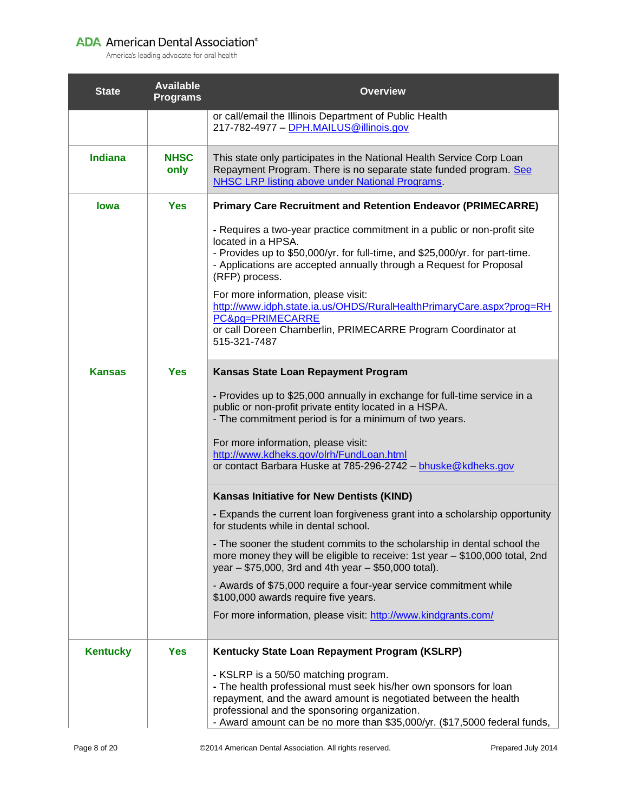| <b>State</b>    | <b>Available</b><br><b>Programs</b> | <b>Overview</b>                                                                                                                                                                                                                                                                                                                                                                                                                                                                            |
|-----------------|-------------------------------------|--------------------------------------------------------------------------------------------------------------------------------------------------------------------------------------------------------------------------------------------------------------------------------------------------------------------------------------------------------------------------------------------------------------------------------------------------------------------------------------------|
|                 |                                     | or call/email the Illinois Department of Public Health<br>217-782-4977 - DPH.MAILUS@illinois.gov                                                                                                                                                                                                                                                                                                                                                                                           |
| <b>Indiana</b>  | <b>NHSC</b><br>only                 | This state only participates in the National Health Service Corp Loan<br>Repayment Program. There is no separate state funded program. See<br>NHSC LRP listing above under National Programs.                                                                                                                                                                                                                                                                                              |
| lowa            | <b>Yes</b>                          | <b>Primary Care Recruitment and Retention Endeavor (PRIMECARRE)</b>                                                                                                                                                                                                                                                                                                                                                                                                                        |
|                 |                                     | - Requires a two-year practice commitment in a public or non-profit site<br>located in a HPSA.<br>- Provides up to \$50,000/yr. for full-time, and \$25,000/yr. for part-time.<br>- Applications are accepted annually through a Request for Proposal<br>(RFP) process.<br>For more information, please visit:<br>http://www.idph.state.ia.us/OHDS/RuralHealthPrimaryCare.aspx?prog=RH<br>PC&pg=PRIMECARRE<br>or call Doreen Chamberlin, PRIMECARRE Program Coordinator at<br>515-321-7487 |
| <b>Kansas</b>   | <b>Yes</b>                          | Kansas State Loan Repayment Program                                                                                                                                                                                                                                                                                                                                                                                                                                                        |
|                 |                                     | - Provides up to \$25,000 annually in exchange for full-time service in a<br>public or non-profit private entity located in a HSPA.<br>- The commitment period is for a minimum of two years.<br>For more information, please visit:<br>http://www.kdheks.gov/olrh/FundLoan.html<br>or contact Barbara Huske at 785-296-2742 - bhuske@kdheks.gov                                                                                                                                           |
|                 |                                     | Kansas Initiative for New Dentists (KIND)                                                                                                                                                                                                                                                                                                                                                                                                                                                  |
|                 |                                     | - Expands the current loan forgiveness grant into a scholarship opportunity<br>for students while in dental school.                                                                                                                                                                                                                                                                                                                                                                        |
|                 |                                     | - The sooner the student commits to the scholarship in dental school the<br>more money they will be eligible to receive: 1st year - \$100,000 total, 2nd<br>year - \$75,000, 3rd and 4th year - \$50,000 total).                                                                                                                                                                                                                                                                           |
|                 |                                     | - Awards of \$75,000 require a four-year service commitment while<br>\$100,000 awards require five years.                                                                                                                                                                                                                                                                                                                                                                                  |
|                 |                                     | For more information, please visit: http://www.kindgrants.com/                                                                                                                                                                                                                                                                                                                                                                                                                             |
| <b>Kentucky</b> | <b>Yes</b>                          | Kentucky State Loan Repayment Program (KSLRP)                                                                                                                                                                                                                                                                                                                                                                                                                                              |
|                 |                                     | - KSLRP is a 50/50 matching program.<br>- The health professional must seek his/her own sponsors for loan<br>repayment, and the award amount is negotiated between the health<br>professional and the sponsoring organization.<br>- Award amount can be no more than \$35,000/yr. (\$17,5000 federal funds,                                                                                                                                                                                |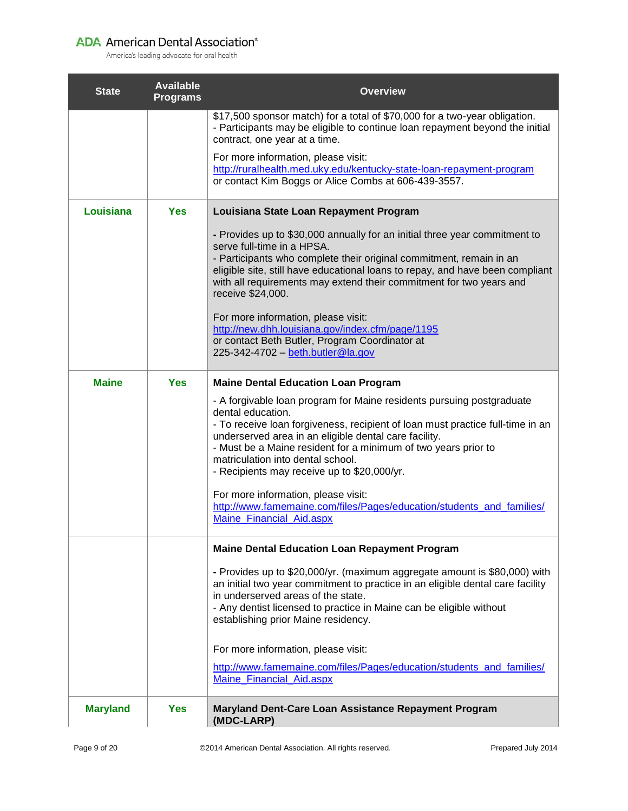| <b>State</b>    | <b>Available</b><br><b>Programs</b> | <b>Overview</b>                                                                                                                                                                                                                                                                                                                                                                                                                                                                                                                                |
|-----------------|-------------------------------------|------------------------------------------------------------------------------------------------------------------------------------------------------------------------------------------------------------------------------------------------------------------------------------------------------------------------------------------------------------------------------------------------------------------------------------------------------------------------------------------------------------------------------------------------|
|                 |                                     | \$17,500 sponsor match) for a total of \$70,000 for a two-year obligation.<br>- Participants may be eligible to continue loan repayment beyond the initial<br>contract, one year at a time.                                                                                                                                                                                                                                                                                                                                                    |
|                 |                                     | For more information, please visit:<br>http://ruralhealth.med.uky.edu/kentucky-state-loan-repayment-program<br>or contact Kim Boggs or Alice Combs at 606-439-3557.                                                                                                                                                                                                                                                                                                                                                                            |
| Louisiana       | <b>Yes</b>                          | Louisiana State Loan Repayment Program                                                                                                                                                                                                                                                                                                                                                                                                                                                                                                         |
|                 |                                     | - Provides up to \$30,000 annually for an initial three year commitment to<br>serve full-time in a HPSA.<br>- Participants who complete their original commitment, remain in an<br>eligible site, still have educational loans to repay, and have been compliant<br>with all requirements may extend their commitment for two years and<br>receive \$24,000.<br>For more information, please visit:<br>http://new.dhh.louisiana.gov/index.cfm/page/1195<br>or contact Beth Butler, Program Coordinator at<br>225-342-4702 - beth.butler@la.gov |
| <b>Maine</b>    | <b>Yes</b>                          | <b>Maine Dental Education Loan Program</b>                                                                                                                                                                                                                                                                                                                                                                                                                                                                                                     |
|                 |                                     | - A forgivable loan program for Maine residents pursuing postgraduate<br>dental education.<br>- To receive loan forgiveness, recipient of loan must practice full-time in an<br>underserved area in an eligible dental care facility.<br>- Must be a Maine resident for a minimum of two years prior to<br>matriculation into dental school.<br>- Recipients may receive up to \$20,000/yr.<br>For more information, please visit:<br>http://www.famemaine.com/files/Pages/education/students_and_families/                                    |
|                 |                                     | Maine Financial Aid.aspx                                                                                                                                                                                                                                                                                                                                                                                                                                                                                                                       |
|                 |                                     | <b>Maine Dental Education Loan Repayment Program</b><br>- Provides up to \$20,000/yr. (maximum aggregate amount is \$80,000) with<br>an initial two year commitment to practice in an eligible dental care facility<br>in underserved areas of the state.<br>- Any dentist licensed to practice in Maine can be eligible without<br>establishing prior Maine residency.                                                                                                                                                                        |
|                 |                                     | For more information, please visit:<br>http://www.famemaine.com/files/Pages/education/students_and_families/<br>Maine_Financial_Aid.aspx                                                                                                                                                                                                                                                                                                                                                                                                       |
| <b>Maryland</b> | <b>Yes</b>                          | Maryland Dent-Care Loan Assistance Repayment Program<br>(MDC-LARP)                                                                                                                                                                                                                                                                                                                                                                                                                                                                             |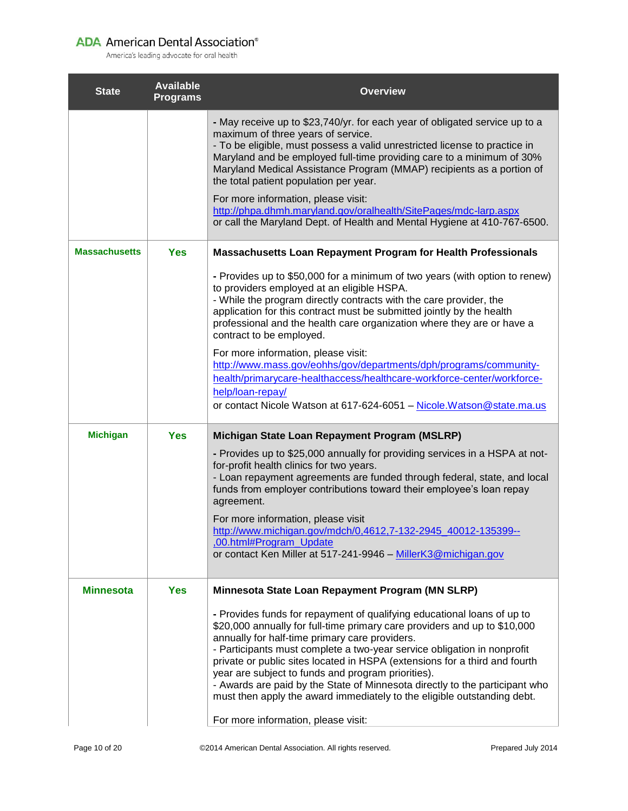| <b>State</b>         | <b>Available</b><br><b>Programs</b> | <b>Overview</b>                                                                                                                                                                                                                                                                                                                                                                                                                                                                                                                                                                                                        |
|----------------------|-------------------------------------|------------------------------------------------------------------------------------------------------------------------------------------------------------------------------------------------------------------------------------------------------------------------------------------------------------------------------------------------------------------------------------------------------------------------------------------------------------------------------------------------------------------------------------------------------------------------------------------------------------------------|
|                      |                                     | - May receive up to \$23,740/yr. for each year of obligated service up to a<br>maximum of three years of service.<br>- To be eligible, must possess a valid unrestricted license to practice in<br>Maryland and be employed full-time providing care to a minimum of 30%<br>Maryland Medical Assistance Program (MMAP) recipients as a portion of<br>the total patient population per year.<br>For more information, please visit:<br>http://phpa.dhmh.maryland.gov/oralhealth/SitePages/mdc-larp.aspx<br>or call the Maryland Dept. of Health and Mental Hygiene at 410-767-6500.                                     |
| <b>Massachusetts</b> | <b>Yes</b>                          | Massachusetts Loan Repayment Program for Health Professionals                                                                                                                                                                                                                                                                                                                                                                                                                                                                                                                                                          |
|                      |                                     | - Provides up to \$50,000 for a minimum of two years (with option to renew)<br>to providers employed at an eligible HSPA.<br>- While the program directly contracts with the care provider, the<br>application for this contract must be submitted jointly by the health<br>professional and the health care organization where they are or have a<br>contract to be employed.                                                                                                                                                                                                                                         |
|                      |                                     | For more information, please visit:<br>http://www.mass.gov/eohhs/gov/departments/dph/programs/community-<br>health/primarycare-healthaccess/healthcare-workforce-center/workforce-<br>help/loan-repay/<br>or contact Nicole Watson at 617-624-6051 - Nicole. Watson @state.ma.us                                                                                                                                                                                                                                                                                                                                       |
| <b>Michigan</b>      | <b>Yes</b>                          | Michigan State Loan Repayment Program (MSLRP)                                                                                                                                                                                                                                                                                                                                                                                                                                                                                                                                                                          |
|                      |                                     | - Provides up to \$25,000 annually for providing services in a HSPA at not-<br>for-profit health clinics for two years.<br>- Loan repayment agreements are funded through federal, state, and local<br>funds from employer contributions toward their employee's loan repay<br>agreement.                                                                                                                                                                                                                                                                                                                              |
|                      |                                     | For more information, please visit<br>http://www.michigan.gov/mdch/0,4612,7-132-2945 40012-135399--<br>,00.html#Program_Update<br>or contact Ken Miller at 517-241-9946 - MillerK3@michigan.gov                                                                                                                                                                                                                                                                                                                                                                                                                        |
| <b>Minnesota</b>     | <b>Yes</b>                          | Minnesota State Loan Repayment Program (MN SLRP)                                                                                                                                                                                                                                                                                                                                                                                                                                                                                                                                                                       |
|                      |                                     | - Provides funds for repayment of qualifying educational loans of up to<br>\$20,000 annually for full-time primary care providers and up to \$10,000<br>annually for half-time primary care providers.<br>- Participants must complete a two-year service obligation in nonprofit<br>private or public sites located in HSPA (extensions for a third and fourth<br>year are subject to funds and program priorities).<br>- Awards are paid by the State of Minnesota directly to the participant who<br>must then apply the award immediately to the eligible outstanding debt.<br>For more information, please visit: |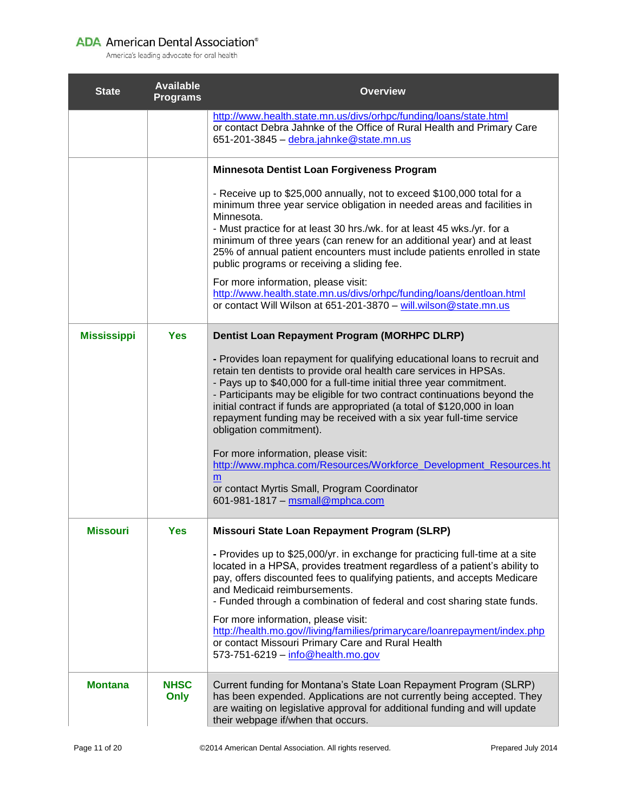| <b>State</b>       | <b>Available</b><br><b>Programs</b> | <b>Overview</b>                                                                                                                                                                                                                                                                                                                                                                                                                                                                                                          |
|--------------------|-------------------------------------|--------------------------------------------------------------------------------------------------------------------------------------------------------------------------------------------------------------------------------------------------------------------------------------------------------------------------------------------------------------------------------------------------------------------------------------------------------------------------------------------------------------------------|
|                    |                                     | http://www.health.state.mn.us/divs/orhpc/funding/loans/state.html<br>or contact Debra Jahnke of the Office of Rural Health and Primary Care<br>651-201-3845 - debra.jahnke@state.mn.us                                                                                                                                                                                                                                                                                                                                   |
|                    |                                     | Minnesota Dentist Loan Forgiveness Program                                                                                                                                                                                                                                                                                                                                                                                                                                                                               |
|                    |                                     | - Receive up to \$25,000 annually, not to exceed \$100,000 total for a<br>minimum three year service obligation in needed areas and facilities in<br>Minnesota.<br>- Must practice for at least 30 hrs./wk. for at least 45 wks./yr. for a<br>minimum of three years (can renew for an additional year) and at least<br>25% of annual patient encounters must include patients enrolled in state<br>public programs or receiving a sliding fee.                                                                          |
|                    |                                     | For more information, please visit:<br>http://www.health.state.mn.us/divs/orhpc/funding/loans/dentloan.html<br>or contact Will Wilson at 651-201-3870 - will.wilson@state.mn.us                                                                                                                                                                                                                                                                                                                                          |
| <b>Mississippi</b> | <b>Yes</b>                          | <b>Dentist Loan Repayment Program (MORHPC DLRP)</b>                                                                                                                                                                                                                                                                                                                                                                                                                                                                      |
|                    |                                     | - Provides loan repayment for qualifying educational loans to recruit and<br>retain ten dentists to provide oral health care services in HPSAs.<br>- Pays up to \$40,000 for a full-time initial three year commitment.<br>- Participants may be eligible for two contract continuations beyond the<br>initial contract if funds are appropriated (a total of \$120,000 in loan<br>repayment funding may be received with a six year full-time service<br>obligation commitment).<br>For more information, please visit: |
|                    |                                     | http://www.mphca.com/Resources/Workforce_Development_Resources.ht<br>m<br>or contact Myrtis Small, Program Coordinator<br>601-981-1817 - msmall@mphca.com                                                                                                                                                                                                                                                                                                                                                                |
| <b>Missouri</b>    | <b>Yes</b>                          | Missouri State Loan Repayment Program (SLRP)                                                                                                                                                                                                                                                                                                                                                                                                                                                                             |
|                    |                                     | - Provides up to \$25,000/yr. in exchange for practicing full-time at a site<br>located in a HPSA, provides treatment regardless of a patient's ability to<br>pay, offers discounted fees to qualifying patients, and accepts Medicare<br>and Medicaid reimbursements.<br>- Funded through a combination of federal and cost sharing state funds.                                                                                                                                                                        |
|                    |                                     | For more information, please visit:<br>http://health.mo.gov//living/families/primarycare/loanrepayment/index.php<br>or contact Missouri Primary Care and Rural Health<br>573-751-6219 - info@health.mo.gov                                                                                                                                                                                                                                                                                                               |
| <b>Montana</b>     | <b>NHSC</b><br>Only                 | Current funding for Montana's State Loan Repayment Program (SLRP)<br>has been expended. Applications are not currently being accepted. They<br>are waiting on legislative approval for additional funding and will update<br>their webpage if/when that occurs.                                                                                                                                                                                                                                                          |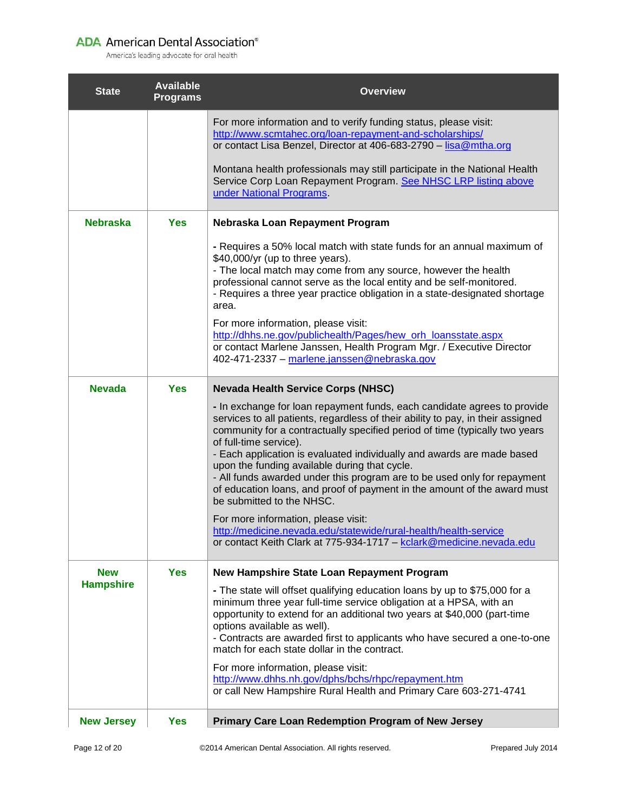| <b>State</b>                   | <b>Available</b><br><b>Programs</b> | <b>Overview</b>                                                                                                                                                                                                                                                                                                                                                                                                                                                                                                                                                                                                                                                                                                                              |
|--------------------------------|-------------------------------------|----------------------------------------------------------------------------------------------------------------------------------------------------------------------------------------------------------------------------------------------------------------------------------------------------------------------------------------------------------------------------------------------------------------------------------------------------------------------------------------------------------------------------------------------------------------------------------------------------------------------------------------------------------------------------------------------------------------------------------------------|
|                                |                                     | For more information and to verify funding status, please visit:<br>http://www.scmtahec.org/loan-repayment-and-scholarships/<br>or contact Lisa Benzel, Director at 406-683-2790 - lisa@mtha.org                                                                                                                                                                                                                                                                                                                                                                                                                                                                                                                                             |
|                                |                                     | Montana health professionals may still participate in the National Health<br>Service Corp Loan Repayment Program. See NHSC LRP listing above<br>under National Programs.                                                                                                                                                                                                                                                                                                                                                                                                                                                                                                                                                                     |
| <b>Nebraska</b>                | <b>Yes</b>                          | Nebraska Loan Repayment Program                                                                                                                                                                                                                                                                                                                                                                                                                                                                                                                                                                                                                                                                                                              |
|                                |                                     | - Requires a 50% local match with state funds for an annual maximum of<br>\$40,000/yr (up to three years).<br>- The local match may come from any source, however the health<br>professional cannot serve as the local entity and be self-monitored.<br>- Requires a three year practice obligation in a state-designated shortage<br>area.<br>For more information, please visit:<br>http://dhhs.ne.gov/publichealth/Pages/hew_orh_loansstate.aspx<br>or contact Marlene Janssen, Health Program Mgr. / Executive Director<br>402-471-2337 - marlene.janssen@nebraska.gov                                                                                                                                                                   |
|                                |                                     |                                                                                                                                                                                                                                                                                                                                                                                                                                                                                                                                                                                                                                                                                                                                              |
| <b>Nevada</b>                  | <b>Yes</b>                          | <b>Nevada Health Service Corps (NHSC)</b><br>- In exchange for loan repayment funds, each candidate agrees to provide<br>services to all patients, regardless of their ability to pay, in their assigned<br>community for a contractually specified period of time (typically two years<br>of full-time service).<br>- Each application is evaluated individually and awards are made based<br>upon the funding available during that cycle.<br>- All funds awarded under this program are to be used only for repayment<br>of education loans, and proof of payment in the amount of the award must<br>be submitted to the NHSC.<br>For more information, please visit:<br>http://medicine.nevada.edu/statewide/rural-health/health-service |
|                                |                                     | or contact Keith Clark at 775-934-1717 - kclark@medicine.nevada.edu                                                                                                                                                                                                                                                                                                                                                                                                                                                                                                                                                                                                                                                                          |
| <b>New</b><br><b>Hampshire</b> | <b>Yes</b>                          | New Hampshire State Loan Repayment Program<br>- The state will offset qualifying education loans by up to \$75,000 for a<br>minimum three year full-time service obligation at a HPSA, with an<br>opportunity to extend for an additional two years at \$40,000 (part-time<br>options available as well).<br>- Contracts are awarded first to applicants who have secured a one-to-one<br>match for each state dollar in the contract.<br>For more information, please visit:<br>http://www.dhhs.nh.gov/dphs/bchs/rhpc/repayment.htm                                                                                                                                                                                                         |
|                                |                                     | or call New Hampshire Rural Health and Primary Care 603-271-4741                                                                                                                                                                                                                                                                                                                                                                                                                                                                                                                                                                                                                                                                             |
| <b>New Jersey</b>              | <b>Yes</b>                          | Primary Care Loan Redemption Program of New Jersey                                                                                                                                                                                                                                                                                                                                                                                                                                                                                                                                                                                                                                                                                           |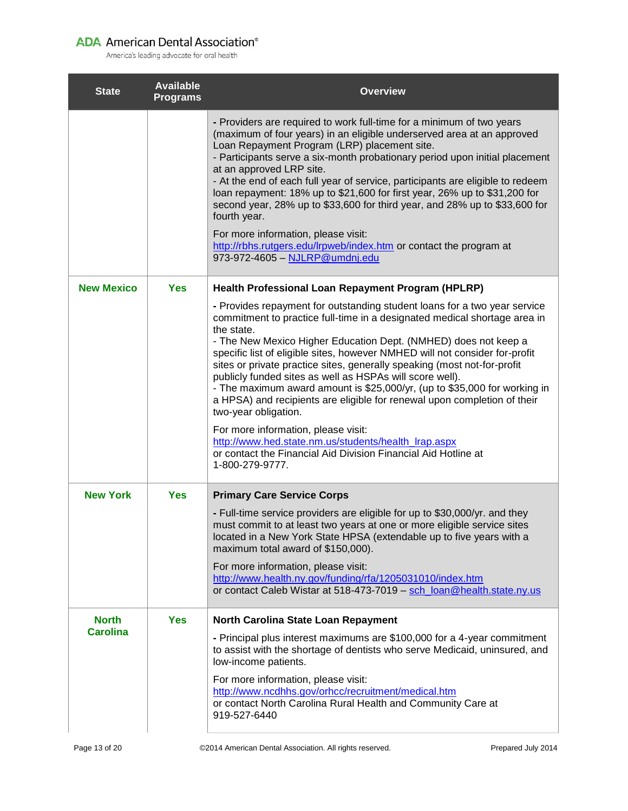| <b>State</b>                    | <b>Available</b><br><b>Programs</b> | <b>Overview</b>                                                                                                                                                                                                                                                                                                                                                                                                                                                                                                                                                                                                                                                                                                                                                                                                                     |
|---------------------------------|-------------------------------------|-------------------------------------------------------------------------------------------------------------------------------------------------------------------------------------------------------------------------------------------------------------------------------------------------------------------------------------------------------------------------------------------------------------------------------------------------------------------------------------------------------------------------------------------------------------------------------------------------------------------------------------------------------------------------------------------------------------------------------------------------------------------------------------------------------------------------------------|
|                                 |                                     | - Providers are required to work full-time for a minimum of two years<br>(maximum of four years) in an eligible underserved area at an approved<br>Loan Repayment Program (LRP) placement site.<br>- Participants serve a six-month probationary period upon initial placement<br>at an approved LRP site.<br>- At the end of each full year of service, participants are eligible to redeem<br>loan repayment: 18% up to \$21,600 for first year, 26% up to \$31,200 for<br>second year, 28% up to \$33,600 for third year, and 28% up to \$33,600 for<br>fourth year.<br>For more information, please visit:<br>http://rbhs.rutgers.edu/lrpweb/index.htm or contact the program at<br>973-972-4605 - NJLRP@umdnj.edu                                                                                                              |
| <b>New Mexico</b>               | <b>Yes</b>                          | Health Professional Loan Repayment Program (HPLRP)                                                                                                                                                                                                                                                                                                                                                                                                                                                                                                                                                                                                                                                                                                                                                                                  |
|                                 |                                     | - Provides repayment for outstanding student loans for a two year service<br>commitment to practice full-time in a designated medical shortage area in<br>the state.<br>- The New Mexico Higher Education Dept. (NMHED) does not keep a<br>specific list of eligible sites, however NMHED will not consider for-profit<br>sites or private practice sites, generally speaking (most not-for-profit<br>publicly funded sites as well as HSPAs will score well).<br>- The maximum award amount is \$25,000/yr, (up to \$35,000 for working in<br>a HPSA) and recipients are eligible for renewal upon completion of their<br>two-year obligation.<br>For more information, please visit:<br>http://www.hed.state.nm.us/students/health_lrap.aspx<br>or contact the Financial Aid Division Financial Aid Hotline at<br>1-800-279-9777. |
| <b>New York</b>                 | <b>Yes</b>                          | <b>Primary Care Service Corps</b>                                                                                                                                                                                                                                                                                                                                                                                                                                                                                                                                                                                                                                                                                                                                                                                                   |
|                                 |                                     | - Full-time service providers are eligible for up to \$30,000/yr. and they<br>must commit to at least two years at one or more eligible service sites<br>located in a New York State HPSA (extendable up to five years with a<br>maximum total award of \$150,000).<br>For more information, please visit:<br>http://www.health.ny.gov/funding/rfa/1205031010/index.htm<br>or contact Caleb Wistar at 518-473-7019 - sch_loan@health.state.ny.us                                                                                                                                                                                                                                                                                                                                                                                    |
| <b>North</b><br><b>Carolina</b> | <b>Yes</b>                          | North Carolina State Loan Repayment                                                                                                                                                                                                                                                                                                                                                                                                                                                                                                                                                                                                                                                                                                                                                                                                 |
|                                 |                                     | - Principal plus interest maximums are \$100,000 for a 4-year commitment<br>to assist with the shortage of dentists who serve Medicaid, uninsured, and<br>low-income patients.<br>For more information, please visit:<br>http://www.ncdhhs.gov/orhcc/recruitment/medical.htm<br>or contact North Carolina Rural Health and Community Care at<br>919-527-6440                                                                                                                                                                                                                                                                                                                                                                                                                                                                        |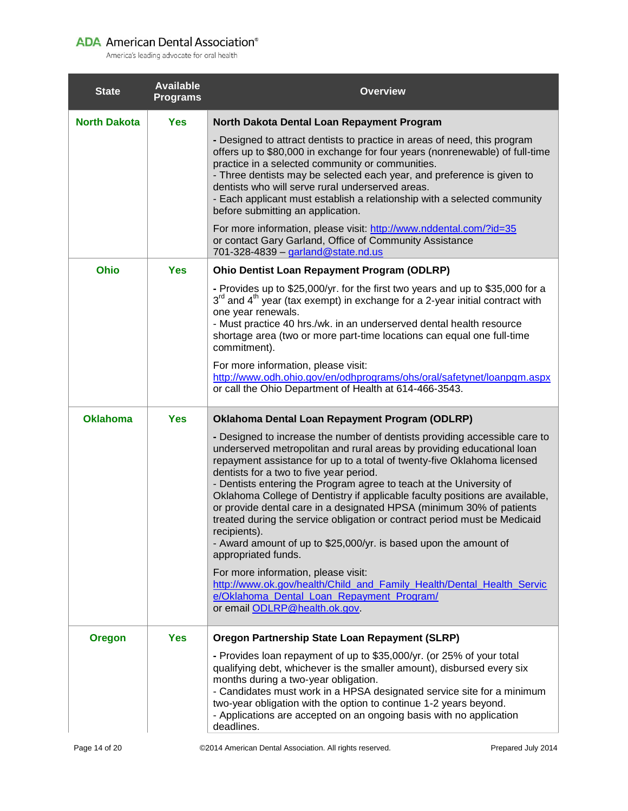| <b>State</b>        | <b>Available</b><br><b>Programs</b> | <b>Overview</b>                                                                                                                                                                                                                                                                                                                                                                                                                                                                                                                                                                                                                                                                                                                                                                                                                                                                                 |
|---------------------|-------------------------------------|-------------------------------------------------------------------------------------------------------------------------------------------------------------------------------------------------------------------------------------------------------------------------------------------------------------------------------------------------------------------------------------------------------------------------------------------------------------------------------------------------------------------------------------------------------------------------------------------------------------------------------------------------------------------------------------------------------------------------------------------------------------------------------------------------------------------------------------------------------------------------------------------------|
| <b>North Dakota</b> | <b>Yes</b>                          | North Dakota Dental Loan Repayment Program                                                                                                                                                                                                                                                                                                                                                                                                                                                                                                                                                                                                                                                                                                                                                                                                                                                      |
|                     |                                     | - Designed to attract dentists to practice in areas of need, this program<br>offers up to \$80,000 in exchange for four years (nonrenewable) of full-time<br>practice in a selected community or communities.<br>- Three dentists may be selected each year, and preference is given to<br>dentists who will serve rural underserved areas.<br>- Each applicant must establish a relationship with a selected community<br>before submitting an application.                                                                                                                                                                                                                                                                                                                                                                                                                                    |
|                     |                                     | For more information, please visit: http://www.nddental.com/?id=35<br>or contact Gary Garland, Office of Community Assistance<br>701-328-4839 - garland@state.nd.us                                                                                                                                                                                                                                                                                                                                                                                                                                                                                                                                                                                                                                                                                                                             |
| Ohio                | <b>Yes</b>                          | <b>Ohio Dentist Loan Repayment Program (ODLRP)</b>                                                                                                                                                                                                                                                                                                                                                                                                                                                                                                                                                                                                                                                                                                                                                                                                                                              |
|                     |                                     | - Provides up to \$25,000/yr. for the first two years and up to \$35,000 for a<br>$3^{rd}$ and $4^{th}$ year (tax exempt) in exchange for a 2-year initial contract with<br>one year renewals.<br>- Must practice 40 hrs./wk. in an underserved dental health resource<br>shortage area (two or more part-time locations can equal one full-time<br>commitment).<br>For more information, please visit:<br>http://www.odh.ohio.gov/en/odhprograms/ohs/oral/safetynet/loanpgm.aspx                                                                                                                                                                                                                                                                                                                                                                                                               |
|                     |                                     | or call the Ohio Department of Health at 614-466-3543.                                                                                                                                                                                                                                                                                                                                                                                                                                                                                                                                                                                                                                                                                                                                                                                                                                          |
| <b>Oklahoma</b>     | <b>Yes</b>                          | <b>Oklahoma Dental Loan Repayment Program (ODLRP)</b>                                                                                                                                                                                                                                                                                                                                                                                                                                                                                                                                                                                                                                                                                                                                                                                                                                           |
|                     |                                     | - Designed to increase the number of dentists providing accessible care to<br>underserved metropolitan and rural areas by providing educational loan<br>repayment assistance for up to a total of twenty-five Oklahoma licensed<br>dentists for a two to five year period.<br>- Dentists entering the Program agree to teach at the University of<br>Oklahoma College of Dentistry if applicable faculty positions are available,<br>or provide dental care in a designated HPSA (minimum 30% of patients<br>treated during the service obligation or contract period must be Medicaid<br>recipients).<br>- Award amount of up to \$25,000/yr. is based upon the amount of<br>appropriated funds.<br>For more information, please visit:<br>http://www.ok.gov/health/Child_and_Family_Health/Dental_Health_Servic<br>e/Oklahoma_Dental_Loan_Repayment_Program/<br>or email ODLRP@health.ok.gov. |
| <b>Oregon</b>       | <b>Yes</b>                          | <b>Oregon Partnership State Loan Repayment (SLRP)</b>                                                                                                                                                                                                                                                                                                                                                                                                                                                                                                                                                                                                                                                                                                                                                                                                                                           |
|                     |                                     | - Provides loan repayment of up to \$35,000/yr. (or 25% of your total<br>qualifying debt, whichever is the smaller amount), disbursed every six<br>months during a two-year obligation.<br>- Candidates must work in a HPSA designated service site for a minimum<br>two-year obligation with the option to continue 1-2 years beyond.<br>- Applications are accepted on an ongoing basis with no application<br>deadlines.                                                                                                                                                                                                                                                                                                                                                                                                                                                                     |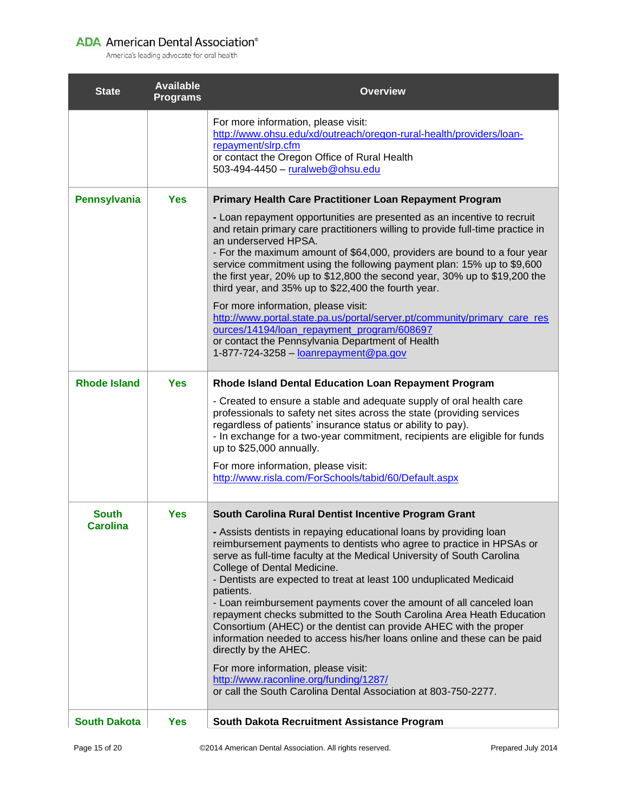| <b>State</b>        | <b>Available</b><br><b>Programs</b> | <b>Overview</b>                                                                                                                                                                                                                                                                                                                                                                                                                                                                                                                                                                                                                                                                                                                                                                                                     |
|---------------------|-------------------------------------|---------------------------------------------------------------------------------------------------------------------------------------------------------------------------------------------------------------------------------------------------------------------------------------------------------------------------------------------------------------------------------------------------------------------------------------------------------------------------------------------------------------------------------------------------------------------------------------------------------------------------------------------------------------------------------------------------------------------------------------------------------------------------------------------------------------------|
|                     |                                     | For more information, please visit:<br>http://www.ohsu.edu/xd/outreach/oregon-rural-health/providers/loan-<br>repayment/slrp.cfm<br>or contact the Oregon Office of Rural Health<br>503-494-4450 - ruralweb@ohsu.edu                                                                                                                                                                                                                                                                                                                                                                                                                                                                                                                                                                                                |
| Pennsylvania        | <b>Yes</b>                          | <b>Primary Health Care Practitioner Loan Repayment Program</b>                                                                                                                                                                                                                                                                                                                                                                                                                                                                                                                                                                                                                                                                                                                                                      |
|                     |                                     | - Loan repayment opportunities are presented as an incentive to recruit<br>and retain primary care practitioners willing to provide full-time practice in<br>an underserved HPSA.<br>- For the maximum amount of \$64,000, providers are bound to a four year<br>service commitment using the following payment plan: 15% up to \$9,600<br>the first year, 20% up to \$12,800 the second year, 30% up to \$19,200 the<br>third year, and 35% up to \$22,400 the fourth year.<br>For more information, please visit:<br>http://www.portal.state.pa.us/portal/server.pt/community/primary care res<br>ources/14194/loan_repayment_program/608697<br>or contact the Pennsylvania Department of Health<br>1-877-724-3258 $-$ loanrepayment @pa.gov                                                                      |
| <b>Rhode Island</b> | <b>Yes</b>                          | Rhode Island Dental Education Loan Repayment Program                                                                                                                                                                                                                                                                                                                                                                                                                                                                                                                                                                                                                                                                                                                                                                |
|                     |                                     | - Created to ensure a stable and adequate supply of oral health care<br>professionals to safety net sites across the state (providing services<br>regardless of patients' insurance status or ability to pay).<br>- In exchange for a two-year commitment, recipients are eligible for funds<br>up to \$25,000 annually.<br>For more information, please visit:<br>http://www.risla.com/ForSchools/tabid/60/Default.aspx                                                                                                                                                                                                                                                                                                                                                                                            |
| <b>South</b>        | <b>Yes</b>                          | South Carolina Rural Dentist Incentive Program Grant                                                                                                                                                                                                                                                                                                                                                                                                                                                                                                                                                                                                                                                                                                                                                                |
| <b>Carolina</b>     |                                     | - Assists dentists in repaying educational loans by providing loan<br>reimbursement payments to dentists who agree to practice in HPSAs or<br>serve as full-time faculty at the Medical University of South Carolina<br>College of Dental Medicine.<br>- Dentists are expected to treat at least 100 unduplicated Medicaid<br>patients.<br>- Loan reimbursement payments cover the amount of all canceled loan<br>repayment checks submitted to the South Carolina Area Heath Education<br>Consortium (AHEC) or the dentist can provide AHEC with the proper<br>information needed to access his/her loans online and these can be paid<br>directly by the AHEC.<br>For more information, please visit:<br>http://www.raconline.org/funding/1287/<br>or call the South Carolina Dental Association at 803-750-2277. |
| <b>South Dakota</b> | <b>Yes</b>                          | South Dakota Recruitment Assistance Program                                                                                                                                                                                                                                                                                                                                                                                                                                                                                                                                                                                                                                                                                                                                                                         |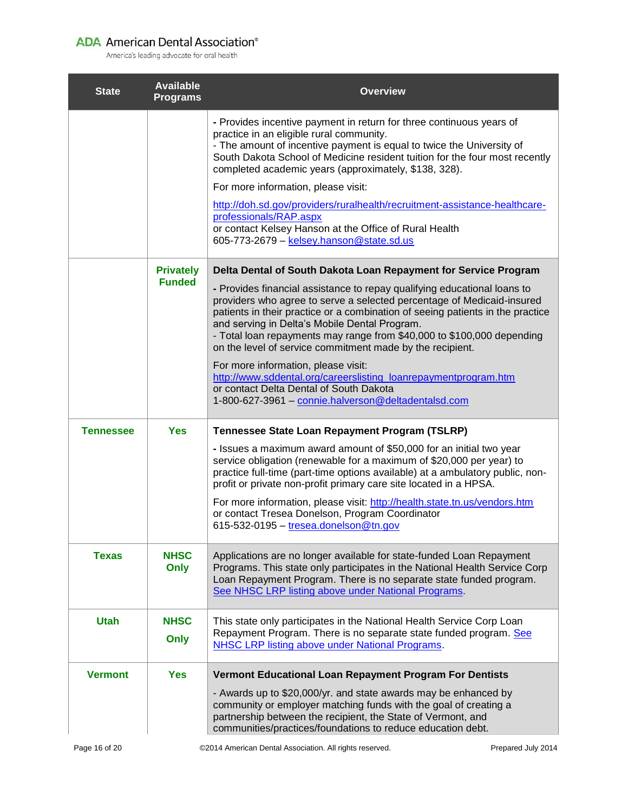| <b>State</b>     | <b>Available</b><br><b>Programs</b> | <b>Overview</b>                                                                                                                                                                                                                                                                                                                                                                                                                                                                                                                                                                                                                                                                                             |
|------------------|-------------------------------------|-------------------------------------------------------------------------------------------------------------------------------------------------------------------------------------------------------------------------------------------------------------------------------------------------------------------------------------------------------------------------------------------------------------------------------------------------------------------------------------------------------------------------------------------------------------------------------------------------------------------------------------------------------------------------------------------------------------|
|                  |                                     | - Provides incentive payment in return for three continuous years of<br>practice in an eligible rural community.<br>- The amount of incentive payment is equal to twice the University of<br>South Dakota School of Medicine resident tuition for the four most recently<br>completed academic years (approximately, \$138, 328).<br>For more information, please visit:<br>http://doh.sd.gov/providers/ruralhealth/recruitment-assistance-healthcare-<br>professionals/RAP.aspx<br>or contact Kelsey Hanson at the Office of Rural Health<br>605-773-2679 - kelsey.hanson@state.sd.us                                                                                                                      |
|                  | <b>Privately</b><br><b>Funded</b>   | Delta Dental of South Dakota Loan Repayment for Service Program<br>- Provides financial assistance to repay qualifying educational loans to<br>providers who agree to serve a selected percentage of Medicaid-insured<br>patients in their practice or a combination of seeing patients in the practice<br>and serving in Delta's Mobile Dental Program.<br>- Total loan repayments may range from \$40,000 to \$100,000 depending<br>on the level of service commitment made by the recipient.<br>For more information, please visit:<br>http://www.sddental.org/careerslisting_loanrepaymentprogram.htm<br>or contact Delta Dental of South Dakota<br>1-800-627-3961 - connie.halverson@deltadentalsd.com |
| <b>Tennessee</b> | <b>Yes</b>                          | Tennessee State Loan Repayment Program (TSLRP)<br>- Issues a maximum award amount of \$50,000 for an initial two year<br>service obligation (renewable for a maximum of \$20,000 per year) to<br>practice full-time (part-time options available) at a ambulatory public, non-<br>profit or private non-profit primary care site located in a HPSA.<br>For more information, please visit: http://health.state.tn.us/vendors.htm<br>or contact Tresea Donelson, Program Coordinator<br>615-532-0195 - tresea.donelson@tn.gov                                                                                                                                                                                |
| <b>Texas</b>     | <b>NHSC</b><br>Only                 | Applications are no longer available for state-funded Loan Repayment<br>Programs. This state only participates in the National Health Service Corp<br>Loan Repayment Program. There is no separate state funded program.<br>See NHSC LRP listing above under National Programs.                                                                                                                                                                                                                                                                                                                                                                                                                             |
| <b>Utah</b>      | <b>NHSC</b><br>Only                 | This state only participates in the National Health Service Corp Loan<br>Repayment Program. There is no separate state funded program. See<br>NHSC LRP listing above under National Programs.                                                                                                                                                                                                                                                                                                                                                                                                                                                                                                               |
| <b>Vermont</b>   | <b>Yes</b>                          | Vermont Educational Loan Repayment Program For Dentists<br>- Awards up to \$20,000/yr. and state awards may be enhanced by<br>community or employer matching funds with the goal of creating a<br>partnership between the recipient, the State of Vermont, and<br>communities/practices/foundations to reduce education debt.                                                                                                                                                                                                                                                                                                                                                                               |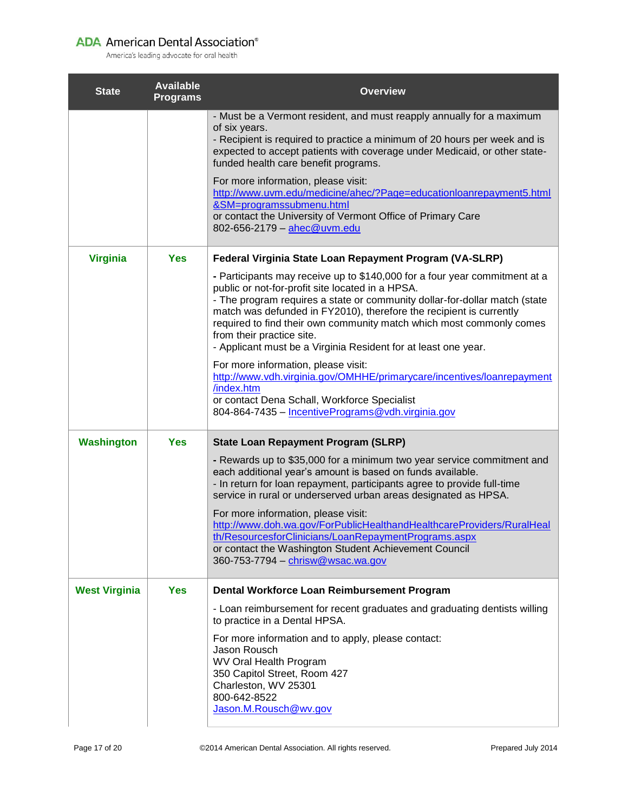| <b>State</b>         | <b>Available</b><br><b>Programs</b> | <b>Overview</b>                                                                                                                                                                                                                                                                                                                                                                                                                                                                                                                                                                                                                                                                                      |
|----------------------|-------------------------------------|------------------------------------------------------------------------------------------------------------------------------------------------------------------------------------------------------------------------------------------------------------------------------------------------------------------------------------------------------------------------------------------------------------------------------------------------------------------------------------------------------------------------------------------------------------------------------------------------------------------------------------------------------------------------------------------------------|
|                      |                                     | - Must be a Vermont resident, and must reapply annually for a maximum<br>of six years.<br>- Recipient is required to practice a minimum of 20 hours per week and is<br>expected to accept patients with coverage under Medicaid, or other state-<br>funded health care benefit programs.<br>For more information, please visit:<br>http://www.uvm.edu/medicine/ahec/?Page=educationloanrepayment5.html<br>&SM=programssubmenu.html<br>or contact the University of Vermont Office of Primary Care<br>802-656-2179 - ahec@uvm.edu                                                                                                                                                                     |
| <b>Virginia</b>      | <b>Yes</b>                          | Federal Virginia State Loan Repayment Program (VA-SLRP)<br>- Participants may receive up to \$140,000 for a four year commitment at a<br>public or not-for-profit site located in a HPSA.<br>- The program requires a state or community dollar-for-dollar match (state<br>match was defunded in FY2010), therefore the recipient is currently<br>required to find their own community match which most commonly comes<br>from their practice site.<br>- Applicant must be a Virginia Resident for at least one year.<br>For more information, please visit:<br>http://www.vdh.virginia.gov/OMHHE/primarycare/incentives/loanrepayment<br>/index.htm<br>or contact Dena Schall, Workforce Specialist |
| <b>Washington</b>    | <b>Yes</b>                          | 804-864-7435 - IncentivePrograms@vdh.virginia.gov<br><b>State Loan Repayment Program (SLRP)</b><br>- Rewards up to \$35,000 for a minimum two year service commitment and<br>each additional year's amount is based on funds available.<br>- In return for loan repayment, participants agree to provide full-time<br>service in rural or underserved urban areas designated as HPSA.<br>For more information, please visit:<br>http://www.doh.wa.gov/ForPublicHealthandHealthcareProviders/RuralHeal<br><u>th/ResourcesforClinicians/LoanRepaymentPrograms.aspx</u><br>or contact the Washington Student Achievement Council<br>360-753-7794 - chrisw@wsac.wa.gov                                   |
| <b>West Virginia</b> | <b>Yes</b>                          | Dental Workforce Loan Reimbursement Program<br>- Loan reimbursement for recent graduates and graduating dentists willing<br>to practice in a Dental HPSA.<br>For more information and to apply, please contact:<br>Jason Rousch<br><b>WV Oral Health Program</b><br>350 Capitol Street, Room 427<br>Charleston, WV 25301<br>800-642-8522<br>Jason.M.Rousch@wv.gov                                                                                                                                                                                                                                                                                                                                    |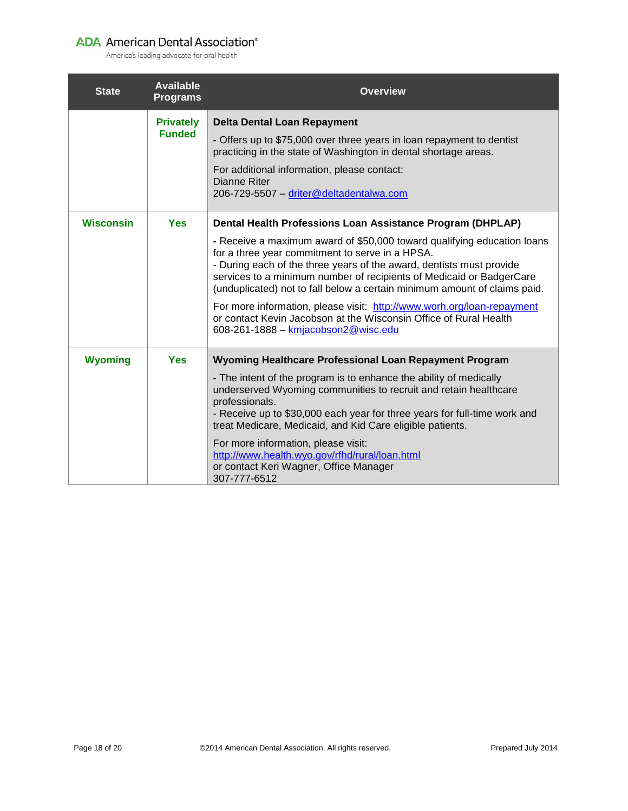| <b>State</b>     | <b>Available</b><br><b>Programs</b> | <b>Overview</b>                                                                                                                                                                                                                                                                                                                                                                                                                                                                                                                                                                                                 |
|------------------|-------------------------------------|-----------------------------------------------------------------------------------------------------------------------------------------------------------------------------------------------------------------------------------------------------------------------------------------------------------------------------------------------------------------------------------------------------------------------------------------------------------------------------------------------------------------------------------------------------------------------------------------------------------------|
|                  | <b>Privately</b><br><b>Funded</b>   | <b>Delta Dental Loan Repayment</b><br>- Offers up to \$75,000 over three years in loan repayment to dentist<br>practicing in the state of Washington in dental shortage areas.<br>For additional information, please contact:<br><b>Dianne Riter</b><br>206-729-5507 - driter@deltadentalwa.com                                                                                                                                                                                                                                                                                                                 |
| <b>Wisconsin</b> | <b>Yes</b>                          | Dental Health Professions Loan Assistance Program (DHPLAP)<br>- Receive a maximum award of \$50,000 toward qualifying education loans<br>for a three year commitment to serve in a HPSA.<br>- During each of the three years of the award, dentists must provide<br>services to a minimum number of recipients of Medicaid or BadgerCare<br>(unduplicated) not to fall below a certain minimum amount of claims paid.<br>For more information, please visit: http://www.worh.org/loan-repayment<br>or contact Kevin Jacobson at the Wisconsin Office of Rural Health<br>608-261-1888 - kmjacobson $2@$ wisc.edu |
| <b>Wyoming</b>   | <b>Yes</b>                          | Wyoming Healthcare Professional Loan Repayment Program<br>- The intent of the program is to enhance the ability of medically<br>underserved Wyoming communities to recruit and retain healthcare<br>professionals.<br>- Receive up to \$30,000 each year for three years for full-time work and<br>treat Medicare, Medicaid, and Kid Care eligible patients.<br>For more information, please visit:<br>http://www.health.wyo.gov/rfhd/rural/loan.html<br>or contact Keri Wagner, Office Manager<br>307-777-6512                                                                                                 |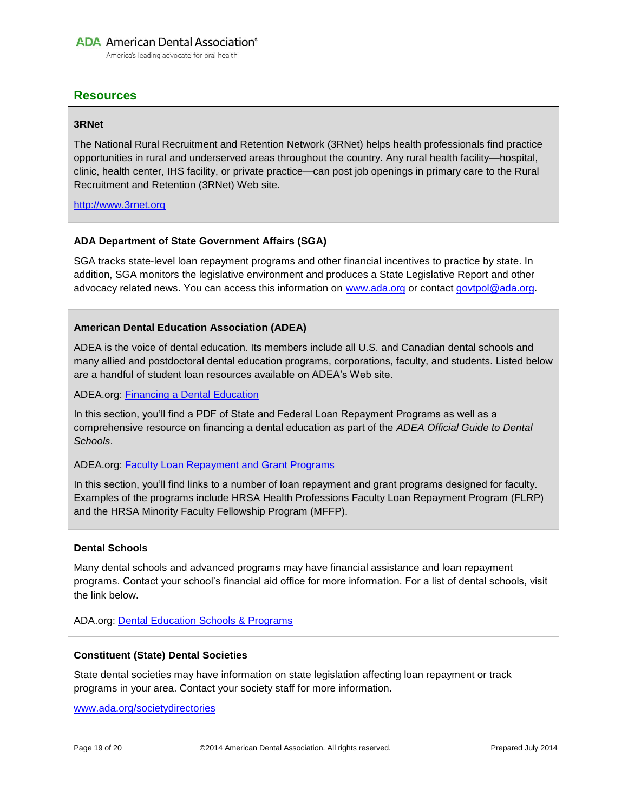America's leading advocate for oral health

# <span id="page-18-0"></span>**Resources**

#### **3RNet**

The National Rural Recruitment and Retention Network (3RNet) helps health professionals find practice opportunities in rural and underserved areas throughout the country. Any rural health facility—hospital, clinic, health center, IHS facility, or private practice—can post job openings in primary care to the Rural Recruitment and Retention (3RNet) Web site.

#### [http://www.3rnet.org](http://www.3rnet.org/)

#### **ADA Department of State Government Affairs (SGA)**

SGA tracks state-level loan repayment programs and other financial incentives to practice by state. In addition, SGA monitors the legislative environment and produces a State Legislative Report and other advocacy related news. You can access this information on [www.ada.org](http://www.ada.org/) or contact [govtpol@ada.org.](mailto:govtpol%40ada.org)

#### **American Dental Education Association (ADEA)**

ADEA is the voice of dental education. Its members include all U.S. and Canadian dental schools and many allied and postdoctoral dental education programs, corporations, faculty, and students. Listed below are a handful of student loan resources available on ADEA's Web site.

ADEA.org: [Financing a Dental Education](http://www.adea.org/Secondary.aspx?id=11574)

In this section, you'll find a PDF of State and Federal Loan Repayment Programs as well as a comprehensive resource on financing a dental education as part of the *ADEA Official Guide to Dental Schools*.

#### ADEA.org: [Faculty Loan Repayment and Grant Programs](http://www.adea.org/professional_development/academic_dental_careers/Pages/FacultyLoanRepaymentandGrantPrograms.aspx)

In this section, you'll find links to a number of loan repayment and grant programs designed for faculty. Examples of the programs include HRSA Health Professions Faculty Loan Repayment Program (FLRP) and the HRSA Minority Faculty Fellowship Program (MFFP).

#### **Dental Schools**

Many dental schools and advanced programs may have financial assistance and loan repayment programs. Contact your school's financial aid office for more information. For a list of dental schools, visit the link below.

ADA.org: [Dental Education Schools & Programs](http://www.ada.org/103.aspx)

#### **Constituent (State) Dental Societies**

State dental societies may have information on state legislation affecting loan repayment or track programs in your area. Contact your society staff for more information.

[www.ada.org/societydirectories](http://www.ada.org/societydirectories)